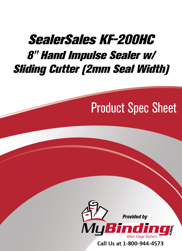## SealerSales KF-200HC 8" Hand Impulse Sealer w/ [Sliding Cutter \(2mm Seal Width\)](http://www.mybinding.com/sealersales-kf-series-8-hand-impulse-sealers-w-sliding-cutter.html?sku=KF-200HC)

# Product Spec Sheet



Call Us at 1-800-944-4573